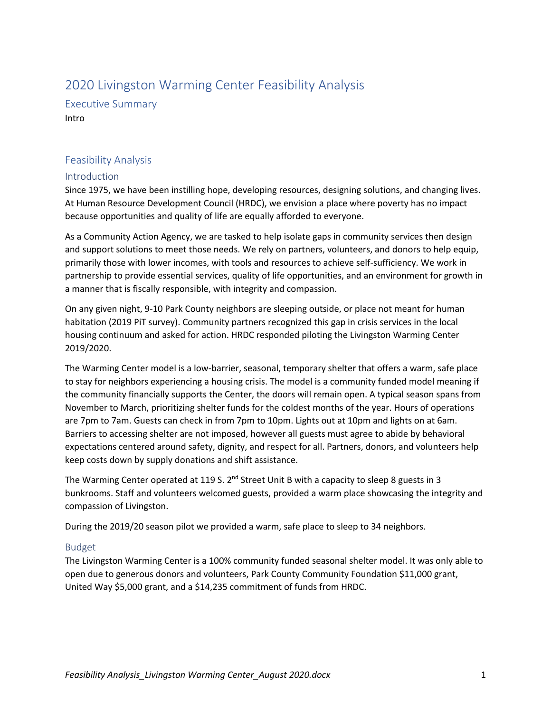# 2020 Livingston Warming Center Feasibility Analysis

Executive Summary Intro

## Feasibility Analysis

## Introduction

Since 1975, we have been instilling hope, developing resources, designing solutions, and changing lives. At Human Resource Development Council (HRDC), we envision a place where poverty has no impact because opportunities and quality of life are equally afforded to everyone.

As a Community Action Agency, we are tasked to help isolate gaps in community services then design and support solutions to meet those needs. We rely on partners, volunteers, and donors to help equip, primarily those with lower incomes, with tools and resources to achieve self-sufficiency. We work in partnership to provide essential services, quality of life opportunities, and an environment for growth in a manner that is fiscally responsible, with integrity and compassion.

On any given night, 9-10 Park County neighbors are sleeping outside, or place not meant for human habitation (2019 PiT survey). Community partners recognized this gap in crisis services in the local housing continuum and asked for action. HRDC responded piloting the Livingston Warming Center 2019/2020.

The Warming Center model is a low-barrier, seasonal, temporary shelter that offers a warm, safe place to stay for neighbors experiencing a housing crisis. The model is a community funded model meaning if the community financially supports the Center, the doors will remain open. A typical season spans from November to March, prioritizing shelter funds for the coldest months of the year. Hours of operations are 7pm to 7am. Guests can check in from 7pm to 10pm. Lights out at 10pm and lights on at 6am. Barriers to accessing shelter are not imposed, however all guests must agree to abide by behavioral expectations centered around safety, dignity, and respect for all. Partners, donors, and volunteers help keep costs down by supply donations and shift assistance.

The Warming Center operated at 119 S.  $2^{nd}$  Street Unit B with a capacity to sleep 8 guests in 3 bunkrooms. Staff and volunteers welcomed guests, provided a warm place showcasing the integrity and compassion of Livingston.

During the 2019/20 season pilot we provided a warm, safe place to sleep to 34 neighbors.

## Budget

The Livingston Warming Center is a 100% community funded seasonal shelter model. It was only able to open due to generous donors and volunteers, Park County Community Foundation \$11,000 grant, United Way \$5,000 grant, and a \$14,235 commitment of funds from HRDC.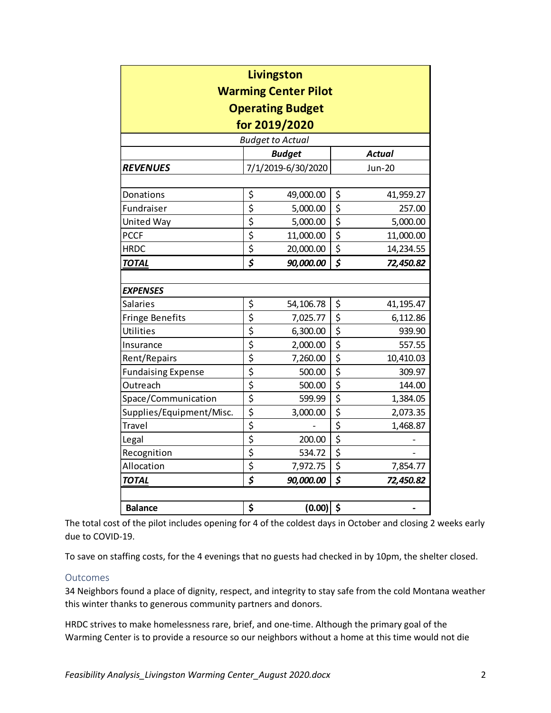| Livingston<br><b>Warming Center Pilot</b> |                                     |                    |                                     |               |  |  |  |
|-------------------------------------------|-------------------------------------|--------------------|-------------------------------------|---------------|--|--|--|
| <b>Operating Budget</b>                   |                                     |                    |                                     |               |  |  |  |
| for 2019/2020                             |                                     |                    |                                     |               |  |  |  |
| <b>Budget to Actual</b>                   |                                     |                    |                                     |               |  |  |  |
|                                           |                                     | <b>Budget</b>      |                                     | <b>Actual</b> |  |  |  |
| <b>REVENUES</b>                           |                                     | 7/1/2019-6/30/2020 |                                     | <b>Jun-20</b> |  |  |  |
|                                           |                                     |                    |                                     |               |  |  |  |
| Donations                                 | \$                                  | 49,000.00          | \$                                  | 41,959.27     |  |  |  |
| Fundraiser                                | $\overline{\boldsymbol{\zeta}}$     | 5,000.00           | $\overline{\boldsymbol{\zeta}}$     | 257.00        |  |  |  |
| United Way                                | \$                                  | 5,000.00           | \$                                  | 5,000.00      |  |  |  |
| <b>PCCF</b>                               | \$                                  | 11,000.00          | \$                                  | 11,000.00     |  |  |  |
| <b>HRDC</b>                               | $\overline{\boldsymbol{\zeta}}$     | 20,000.00          | $\overline{\mathsf{S}}$             | 14,234.55     |  |  |  |
| <b>TOTAL</b>                              | \$                                  | 90,000.00          | \$                                  | 72,450.82     |  |  |  |
|                                           |                                     |                    |                                     |               |  |  |  |
| <b>EXPENSES</b>                           |                                     |                    |                                     |               |  |  |  |
| <b>Salaries</b>                           | \$                                  | 54,106.78          | \$                                  | 41,195.47     |  |  |  |
| <b>Fringe Benefits</b>                    | $\overline{\boldsymbol{\zeta}}$     | 7,025.77           | $\overline{\xi}$                    | 6,112.86      |  |  |  |
| Utilities                                 | \$                                  | 6,300.00           | $\overline{\xi}$                    | 939.90        |  |  |  |
| Insurance                                 | $\overline{\boldsymbol{\varsigma}}$ | 2,000.00           | $\overline{\boldsymbol{\xi}}$       | 557.55        |  |  |  |
| Rent/Repairs                              | $\overline{\mathsf{S}}$             | 7,260.00           | $\overline{\mathsf{S}}$             | 10,410.03     |  |  |  |
| <b>Fundaising Expense</b>                 | $\overline{\boldsymbol{\zeta}}$     | 500.00             | $\overline{\boldsymbol{\varsigma}}$ | 309.97        |  |  |  |
| Outreach                                  | \$                                  | 500.00             | \$                                  | 144.00        |  |  |  |
| Space/Communication                       | $\overline{\mathsf{S}}$             | 599.99             | \$                                  | 1,384.05      |  |  |  |
| Supplies/Equipment/Misc.                  | $\overline{\mathsf{S}}$             | 3,000.00           | \$                                  | 2,073.35      |  |  |  |
| <b>Travel</b>                             | $\overline{\mathsf{S}}$             |                    | $\overline{\mathsf{S}}$             | 1,468.87      |  |  |  |
| Legal                                     | $\overline{\xi}$                    | 200.00             | $\overline{\xi}$                    |               |  |  |  |
| Recognition                               | $\overline{\boldsymbol{\xi}}$       | 534.72             | $\overline{\xi}$                    |               |  |  |  |
| Allocation                                | \$                                  | 7,972.75           | \$                                  | 7,854.77      |  |  |  |
| <b>TOTAL</b>                              | \$                                  | 90,000.00          | \$                                  | 72,450.82     |  |  |  |
|                                           |                                     |                    |                                     |               |  |  |  |
| <b>Balance</b>                            | \$                                  | $(0.00)$ \$        |                                     |               |  |  |  |

The total cost of the pilot includes opening for 4 of the coldest days in October and closing 2 weeks early due to COVID-19.

To save on staffing costs, for the 4 evenings that no guests had checked in by 10pm, the shelter closed.

### **Outcomes**

34 Neighbors found a place of dignity, respect, and integrity to stay safe from the cold Montana weather this winter thanks to generous community partners and donors.

HRDC strives to make homelessness rare, brief, and one-time. Although the primary goal of the Warming Center is to provide a resource so our neighbors without a home at this time would not die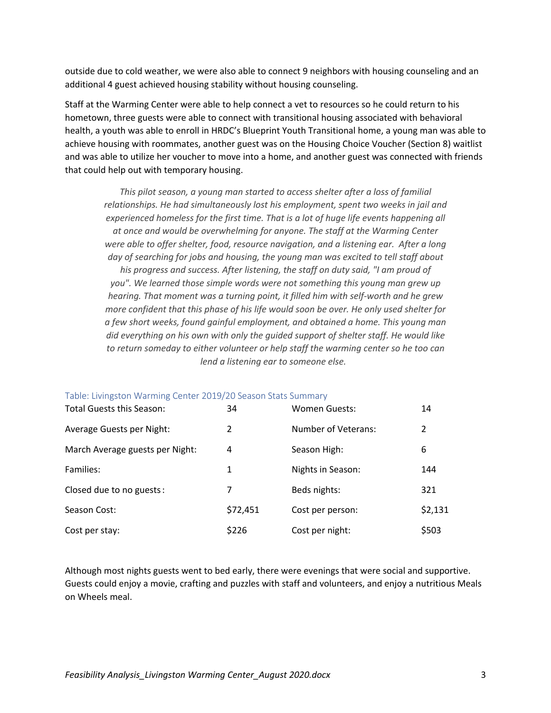outside due to cold weather, we were also able to connect 9 neighbors with housing counseling and an additional 4 guest achieved housing stability without housing counseling.

Staff at the Warming Center were able to help connect a vet to resources so he could return to his hometown, three guests were able to connect with transitional housing associated with behavioral health, a youth was able to enroll in HRDC's Blueprint Youth Transitional home, a young man was able to achieve housing with roommates, another guest was on the Housing Choice Voucher (Section 8) waitlist and was able to utilize her voucher to move into a home, and another guest was connected with friends that could help out with temporary housing.

*This pilot season, a young man started to access shelter after a loss of familial relationships. He had simultaneously lost his employment, spent two weeks in jail and experienced homeless for the first time. That is a lot of huge life events happening all at once and would be overwhelming for anyone. The staff at the Warming Center were able to offer shelter, food, resource navigation, and a listening ear. After a long day of searching for jobs and housing, the young man was excited to tell staff about his progress and success. After listening, the staff on duty said, "I am proud of you". We learned those simple words were not something this young man grew up hearing. That moment was a turning point, it filled him with self-worth and he grew more confident that this phase of his life would soon be over. He only used shelter for a few short weeks, found gainful employment, and obtained a home. This young man did everything on his own with only the guided support of shelter staff. He would like to return someday to either volunteer or help staff the warming center so he too can lend a listening ear to someone else.* 

| Table: Livingston Wanning Center 2019/20 Season Stats Summary<br>Total Guests this Season: | 34       | Women Guests:       | 14      |
|--------------------------------------------------------------------------------------------|----------|---------------------|---------|
| Average Guests per Night:                                                                  | 2        | Number of Veterans: | 2       |
| March Average guests per Night:                                                            | 4        | Season High:        | 6       |
| Families:                                                                                  | 1        | Nights in Season:   | 144     |
| Closed due to no guests:                                                                   | 7        | Beds nights:        | 321     |
| Season Cost:                                                                               | \$72,451 | Cost per person:    | \$2,131 |
| Cost per stay:                                                                             | \$226    | Cost per night:     | \$503   |

### Table: Livingston Warming Center 2019/20 Season Stats Summary

Although most nights guests went to bed early, there were evenings that were social and supportive. Guests could enjoy a movie, crafting and puzzles with staff and volunteers, and enjoy a nutritious Meals on Wheels meal.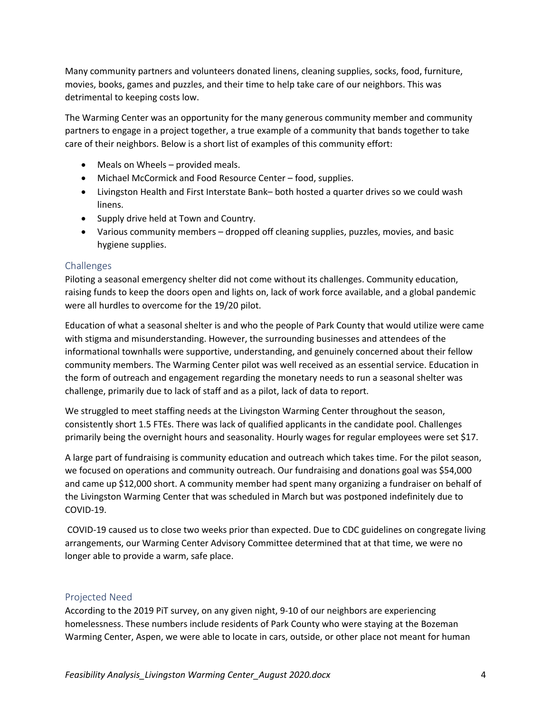Many community partners and volunteers donated linens, cleaning supplies, socks, food, furniture, movies, books, games and puzzles, and their time to help take care of our neighbors. This was detrimental to keeping costs low.

The Warming Center was an opportunity for the many generous community member and community partners to engage in a project together, a true example of a community that bands together to take care of their neighbors. Below is a short list of examples of this community effort:

- Meals on Wheels provided meals.
- Michael McCormick and Food Resource Center food, supplies.
- Livingston Health and First Interstate Bank– both hosted a quarter drives so we could wash linens.
- Supply drive held at Town and Country.
- Various community members dropped off cleaning supplies, puzzles, movies, and basic hygiene supplies.

## Challenges

Piloting a seasonal emergency shelter did not come without its challenges. Community education, raising funds to keep the doors open and lights on, lack of work force available, and a global pandemic were all hurdles to overcome for the 19/20 pilot.

Education of what a seasonal shelter is and who the people of Park County that would utilize were came with stigma and misunderstanding. However, the surrounding businesses and attendees of the informational townhalls were supportive, understanding, and genuinely concerned about their fellow community members. The Warming Center pilot was well received as an essential service. Education in the form of outreach and engagement regarding the monetary needs to run a seasonal shelter was challenge, primarily due to lack of staff and as a pilot, lack of data to report.

We struggled to meet staffing needs at the Livingston Warming Center throughout the season, consistently short 1.5 FTEs. There was lack of qualified applicants in the candidate pool. Challenges primarily being the overnight hours and seasonality. Hourly wages for regular employees were set \$17.

A large part of fundraising is community education and outreach which takes time. For the pilot season, we focused on operations and community outreach. Our fundraising and donations goal was \$54,000 and came up \$12,000 short. A community member had spent many organizing a fundraiser on behalf of the Livingston Warming Center that was scheduled in March but was postponed indefinitely due to COVID-19.

COVID-19 caused us to close two weeks prior than expected. Due to CDC guidelines on congregate living arrangements, our Warming Center Advisory Committee determined that at that time, we were no longer able to provide a warm, safe place.

## Projected Need

According to the 2019 PiT survey, on any given night, 9-10 of our neighbors are experiencing homelessness. These numbers include residents of Park County who were staying at the Bozeman Warming Center, Aspen, we were able to locate in cars, outside, or other place not meant for human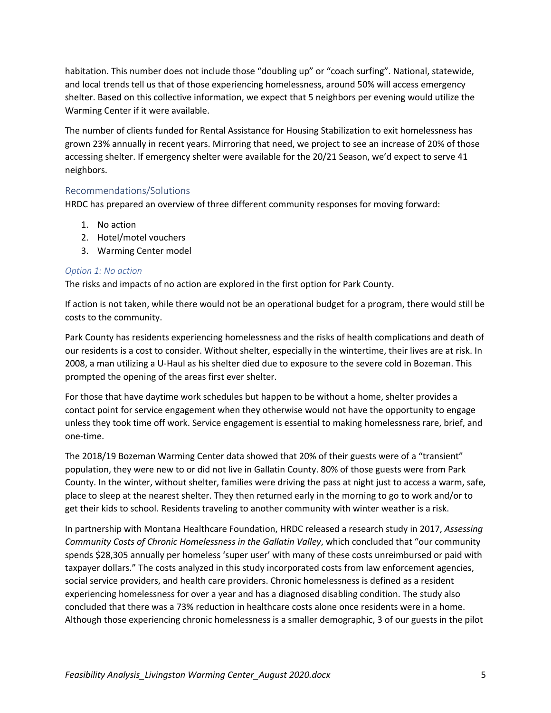habitation. This number does not include those "doubling up" or "coach surfing". National, statewide, and local trends tell us that of those experiencing homelessness, around 50% will access emergency shelter. Based on this collective information, we expect that 5 neighbors per evening would utilize the Warming Center if it were available.

The number of clients funded for Rental Assistance for Housing Stabilization to exit homelessness has grown 23% annually in recent years. Mirroring that need, we project to see an increase of 20% of those accessing shelter. If emergency shelter were available for the 20/21 Season, we'd expect to serve 41 neighbors.

### Recommendations/Solutions

HRDC has prepared an overview of three different community responses for moving forward:

- 1. No action
- 2. Hotel/motel vouchers
- 3. Warming Center model

#### *Option 1: No action*

The risks and impacts of no action are explored in the first option for Park County.

If action is not taken, while there would not be an operational budget for a program, there would still be costs to the community.

Park County has residents experiencing homelessness and the risks of health complications and death of our residents is a cost to consider. Without shelter, especially in the wintertime, their lives are at risk. In 2008, a man utilizing a U-Haul as his shelter died due to exposure to the severe cold in Bozeman. This prompted the opening of the areas first ever shelter.

For those that have daytime work schedules but happen to be without a home, shelter provides a contact point for service engagement when they otherwise would not have the opportunity to engage unless they took time off work. Service engagement is essential to making homelessness rare, brief, and one-time.

The 2018/19 Bozeman Warming Center data showed that 20% of their guests were of a "transient" population, they were new to or did not live in Gallatin County. 80% of those guests were from Park County. In the winter, without shelter, families were driving the pass at night just to access a warm, safe, place to sleep at the nearest shelter. They then returned early in the morning to go to work and/or to get their kids to school. Residents traveling to another community with winter weather is a risk.

In partnership with Montana Healthcare Foundation, HRDC released a research study in 2017, *Assessing Community Costs of Chronic Homelessness in the Gallatin Valley*, which concluded that "our community spends \$28,305 annually per homeless 'super user' with many of these costs unreimbursed or paid with taxpayer dollars." The costs analyzed in this study incorporated costs from law enforcement agencies, social service providers, and health care providers. Chronic homelessness is defined as a resident experiencing homelessness for over a year and has a diagnosed disabling condition. The study also concluded that there was a 73% reduction in healthcare costs alone once residents were in a home. Although those experiencing chronic homelessness is a smaller demographic, 3 of our guests in the pilot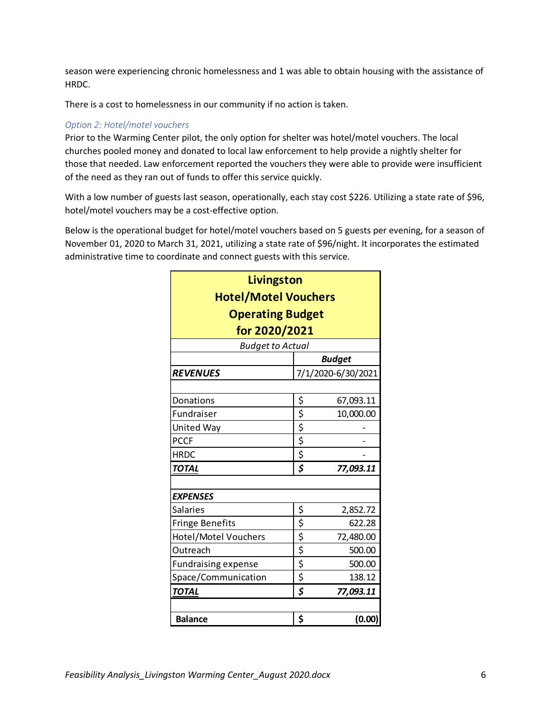season were experiencing chronic homelessness and 1 was able to obtain housing with the assistance of HRDC.

There is a cost to homelessness in our community if no action is taken.

## *Option 2: Hotel/motel vouchers*

Prior to the Warming Center pilot, the only option for shelter was hotel/motel vouchers. The local churches pooled money and donated to local law enforcement to help provide a nightly shelter for those that needed. Law enforcement reported the vouchers they were able to provide were insufficient of the need as they ran out of funds to offer this service quickly.

With a low number of guests last season, operationally, each stay cost \$226. Utilizing a state rate of \$96, hotel/motel vouchers may be a cost-effective option.

Below is the operational budget for hotel/motel vouchers based on 5 guests per evening, for a season of November 01, 2020 to March 31, 2021, utilizing a state rate of \$96/night. It incorporates the estimated administrative time to coordinate and connect guests with this service.

| Livingston<br><b>Hotel/Motel Vouchers</b> |                                 |                    |  |  |  |
|-------------------------------------------|---------------------------------|--------------------|--|--|--|
| <b>Operating Budget</b><br>for 2020/2021  |                                 |                    |  |  |  |
|                                           |                                 |                    |  |  |  |
|                                           |                                 | <b>Budget</b>      |  |  |  |
| <b>REVENUES</b>                           |                                 | 7/1/2020-6/30/2021 |  |  |  |
|                                           |                                 |                    |  |  |  |
| Donations                                 | \$                              | 67,093.11          |  |  |  |
| Fundraiser                                | $\overline{\boldsymbol{\zeta}}$ | 10,000.00          |  |  |  |
| United Way                                | \$                              |                    |  |  |  |
| <b>PCCF</b>                               | $rac{5}{5}$                     |                    |  |  |  |
| <b>HRDC</b>                               |                                 |                    |  |  |  |
| <b>TOTAL</b>                              | \$                              | 77,093.11          |  |  |  |
| <b>EXPENSES</b>                           |                                 |                    |  |  |  |
| <b>Salaries</b>                           | <u>\$</u>                       | 2,852.72           |  |  |  |
| <b>Fringe Benefits</b>                    |                                 | 622.28             |  |  |  |
| Hotel/Motel Vouchers                      | $rac{5}{5}$                     | 72,480.00          |  |  |  |
| Outreach                                  | \$                              | 500.00             |  |  |  |
| <b>Fundraising expense</b>                | $\overline{\boldsymbol{\zeta}}$ | 500.00             |  |  |  |
| Space/Communication                       | \$                              | 138.12             |  |  |  |
| <b>TOTAL</b>                              | \$                              | 77,093.11          |  |  |  |
|                                           |                                 |                    |  |  |  |
| <b>Balance</b>                            | \$                              | (0.00)             |  |  |  |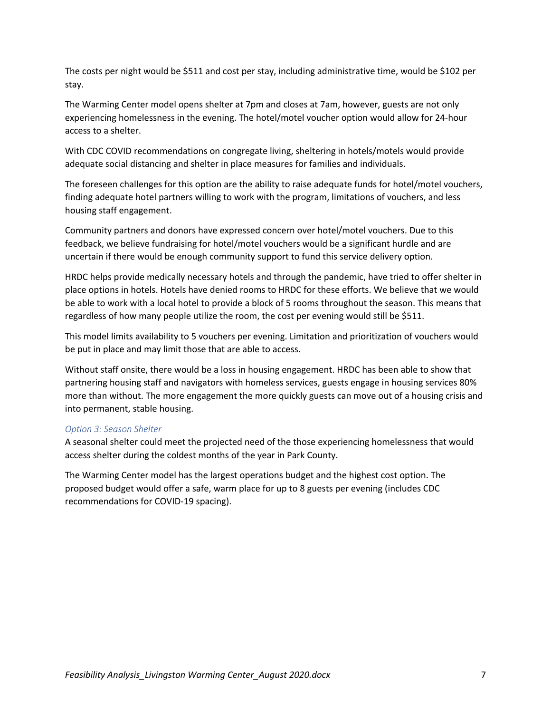The costs per night would be \$511 and cost per stay, including administrative time, would be \$102 per stay.

The Warming Center model opens shelter at 7pm and closes at 7am, however, guests are not only experiencing homelessness in the evening. The hotel/motel voucher option would allow for 24-hour access to a shelter.

With CDC COVID recommendations on congregate living, sheltering in hotels/motels would provide adequate social distancing and shelter in place measures for families and individuals.

The foreseen challenges for this option are the ability to raise adequate funds for hotel/motel vouchers, finding adequate hotel partners willing to work with the program, limitations of vouchers, and less housing staff engagement.

Community partners and donors have expressed concern over hotel/motel vouchers. Due to this feedback, we believe fundraising for hotel/motel vouchers would be a significant hurdle and are uncertain if there would be enough community support to fund this service delivery option.

HRDC helps provide medically necessary hotels and through the pandemic, have tried to offer shelter in place options in hotels. Hotels have denied rooms to HRDC for these efforts. We believe that we would be able to work with a local hotel to provide a block of 5 rooms throughout the season. This means that regardless of how many people utilize the room, the cost per evening would still be \$511.

This model limits availability to 5 vouchers per evening. Limitation and prioritization of vouchers would be put in place and may limit those that are able to access.

Without staff onsite, there would be a loss in housing engagement. HRDC has been able to show that partnering housing staff and navigators with homeless services, guests engage in housing services 80% more than without. The more engagement the more quickly guests can move out of a housing crisis and into permanent, stable housing.

### *Option 3: Season Shelter*

A seasonal shelter could meet the projected need of the those experiencing homelessness that would access shelter during the coldest months of the year in Park County.

The Warming Center model has the largest operations budget and the highest cost option. The proposed budget would offer a safe, warm place for up to 8 guests per evening (includes CDC recommendations for COVID-19 spacing).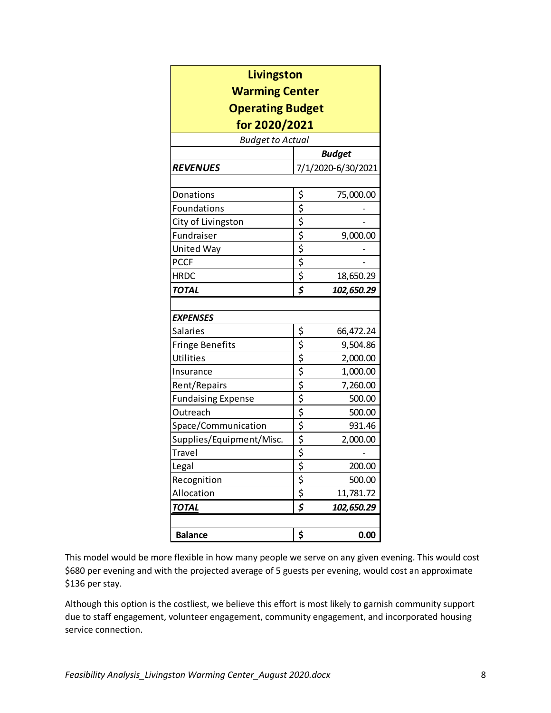| Livingston                                                          |                                                                                                                 |            |  |  |  |                 |  |                    |
|---------------------------------------------------------------------|-----------------------------------------------------------------------------------------------------------------|------------|--|--|--|-----------------|--|--------------------|
| <b>Warming Center</b>                                               |                                                                                                                 |            |  |  |  |                 |  |                    |
| <b>Operating Budget</b><br>for 2020/2021<br><b>Budget to Actual</b> |                                                                                                                 |            |  |  |  |                 |  |                    |
|                                                                     |                                                                                                                 |            |  |  |  |                 |  | <b>Budget</b>      |
|                                                                     |                                                                                                                 |            |  |  |  | <b>REVENUES</b> |  | 7/1/2020-6/30/2021 |
|                                                                     |                                                                                                                 |            |  |  |  |                 |  |                    |
| Donations                                                           |                                                                                                                 | 75,000.00  |  |  |  |                 |  |                    |
| Foundations                                                         |                                                                                                                 |            |  |  |  |                 |  |                    |
| City of Livingston                                                  | $\frac{1}{2}$ $\frac{1}{2}$ $\frac{1}{2}$ $\frac{1}{2}$ $\frac{1}{2}$ $\frac{1}{2}$ $\frac{1}{2}$ $\frac{1}{2}$ |            |  |  |  |                 |  |                    |
| Fundraiser                                                          |                                                                                                                 | 9,000.00   |  |  |  |                 |  |                    |
| United Way                                                          |                                                                                                                 |            |  |  |  |                 |  |                    |
| <b>PCCF</b>                                                         |                                                                                                                 |            |  |  |  |                 |  |                    |
| <b>HRDC</b>                                                         |                                                                                                                 | 18,650.29  |  |  |  |                 |  |                    |
| <b>TOTAL</b>                                                        | $\overline{\boldsymbol{\zeta}}$                                                                                 | 102,650.29 |  |  |  |                 |  |                    |
|                                                                     |                                                                                                                 |            |  |  |  |                 |  |                    |
| <b>EXPENSES</b>                                                     |                                                                                                                 |            |  |  |  |                 |  |                    |
| <b>Salaries</b>                                                     |                                                                                                                 | 66,472.24  |  |  |  |                 |  |                    |
| <b>Fringe Benefits</b>                                              |                                                                                                                 | 9,504.86   |  |  |  |                 |  |                    |
| Utilities                                                           |                                                                                                                 | 2,000.00   |  |  |  |                 |  |                    |
| Insurance                                                           |                                                                                                                 | 1,000.00   |  |  |  |                 |  |                    |
| Rent/Repairs                                                        |                                                                                                                 | 7,260.00   |  |  |  |                 |  |                    |
| <b>Fundaising Expense</b>                                           |                                                                                                                 | 500.00     |  |  |  |                 |  |                    |
| Outreach                                                            |                                                                                                                 | 500.00     |  |  |  |                 |  |                    |
| Space/Communication                                                 |                                                                                                                 | 931.46     |  |  |  |                 |  |                    |
| Supplies/Equipment/Misc.                                            |                                                                                                                 | 2,000.00   |  |  |  |                 |  |                    |
| Travel                                                              |                                                                                                                 |            |  |  |  |                 |  |                    |
| Legal                                                               |                                                                                                                 | 200.00     |  |  |  |                 |  |                    |
| Recognition                                                         |                                                                                                                 | 500.00     |  |  |  |                 |  |                    |
| Allocation                                                          |                                                                                                                 | 11,781.72  |  |  |  |                 |  |                    |
| TOTAL                                                               | $\overline{\boldsymbol{\zeta}}$                                                                                 | 102,650.29 |  |  |  |                 |  |                    |
|                                                                     |                                                                                                                 |            |  |  |  |                 |  |                    |
| <b>Balance</b>                                                      | \$                                                                                                              | 0.00       |  |  |  |                 |  |                    |

This model would be more flexible in how many people we serve on any given evening. This would cost \$680 per evening and with the projected average of 5 guests per evening, would cost an approximate \$136 per stay.

Although this option is the costliest, we believe this effort is most likely to garnish community support due to staff engagement, volunteer engagement, community engagement, and incorporated housing service connection.